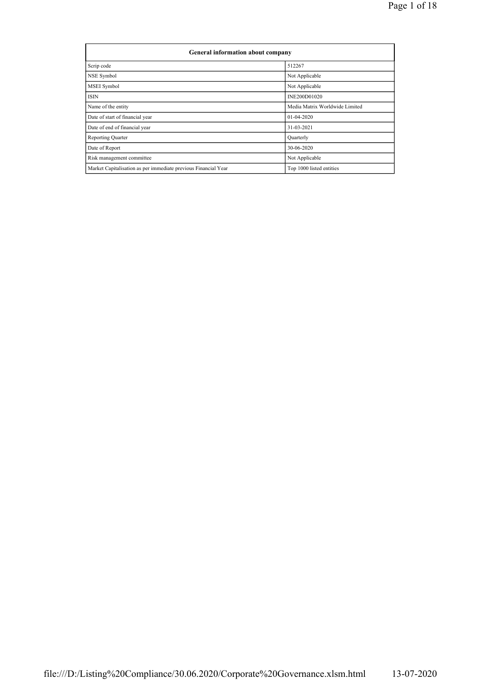| General information about company                              |                                |  |  |  |  |  |  |
|----------------------------------------------------------------|--------------------------------|--|--|--|--|--|--|
| Scrip code                                                     | 512267                         |  |  |  |  |  |  |
| NSE Symbol                                                     | Not Applicable                 |  |  |  |  |  |  |
| MSEI Symbol                                                    | Not Applicable                 |  |  |  |  |  |  |
| <b>ISIN</b>                                                    | INE200D01020                   |  |  |  |  |  |  |
| Name of the entity                                             | Media Matrix Worldwide Limited |  |  |  |  |  |  |
| Date of start of financial year                                | $01-04-2020$                   |  |  |  |  |  |  |
| Date of end of financial year                                  | 31-03-2021                     |  |  |  |  |  |  |
| <b>Reporting Quarter</b>                                       | Quarterly                      |  |  |  |  |  |  |
| Date of Report                                                 | 30-06-2020                     |  |  |  |  |  |  |
| Risk management committee                                      | Not Applicable                 |  |  |  |  |  |  |
| Market Capitalisation as per immediate previous Financial Year | Top 1000 listed entities       |  |  |  |  |  |  |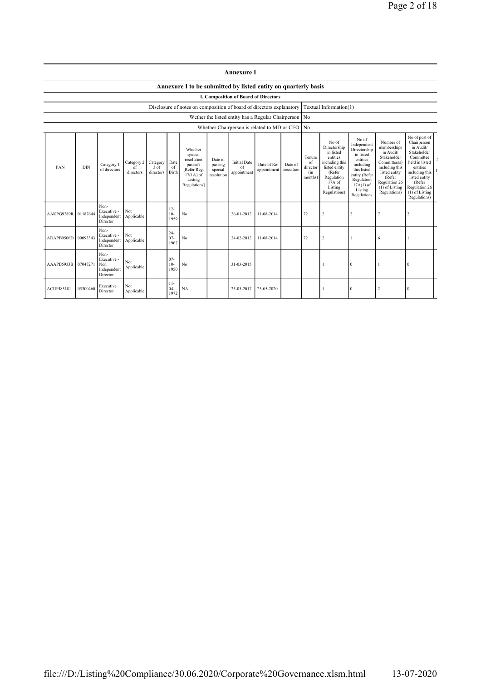| <b>Annexure I</b> |  |
|-------------------|--|
|                   |  |

## Annexure I to be submitted by listed entity on quarterly basis

I. Composition of Board of Directors

Disclosure of notes on composition of board of directors explanatory Textual Information(1)

Wether the listed entity has a Regular Chairperson No

| Whether Chairperson is related to MD or CEO No |            |                                                       |                               |                               |                          |                                                                                                      |                                             |                                          |                            |                      |                                            |                                                                                                                                                |                                                                                                                                                                   |                                                                                                                                                                        |                                                                                                                                                                                                       |  |
|------------------------------------------------|------------|-------------------------------------------------------|-------------------------------|-------------------------------|--------------------------|------------------------------------------------------------------------------------------------------|---------------------------------------------|------------------------------------------|----------------------------|----------------------|--------------------------------------------|------------------------------------------------------------------------------------------------------------------------------------------------|-------------------------------------------------------------------------------------------------------------------------------------------------------------------|------------------------------------------------------------------------------------------------------------------------------------------------------------------------|-------------------------------------------------------------------------------------------------------------------------------------------------------------------------------------------------------|--|
| PAN                                            | <b>DIN</b> | Category 1<br>of directors                            | Category 2<br>of<br>directors | Category<br>3 of<br>directors | Date<br>of<br>Birth      | Whether<br>special<br>resolution<br>passed?<br>[Refer Reg.<br>$17(1A)$ of<br>Listing<br>Regulations] | Date of<br>passing<br>special<br>resolution | <b>Initial Date</b><br>of<br>appointment | Date of Re-<br>appointment | Date of<br>cessation | Tenure<br>of<br>director<br>(in<br>months) | No of<br>Directorship<br>in listed<br>entities<br>including this<br>listed entity<br>(Refer<br>Regulation<br>17A of<br>Listing<br>Regulations) | No of<br>Independent<br>Directorship<br>in listed<br>entities<br>including<br>this listed<br>entity (Refer<br>Regulation<br>$17A(1)$ of<br>Listing<br>Regulations | Number of<br>memberships<br>in Audit/<br>Stakeholder<br>Committee(s)<br>including this<br>listed entity<br>(Refer<br>Regulation 26<br>$(1)$ of Listing<br>Regulations) | No of post of<br>Chairperson<br>in Audit/<br>Stakeholder<br>Committee<br>held in listed<br>entities<br>including this<br>listed entity<br>(Refer<br>Regulation 26<br>$(1)$ of Listing<br>Regulations) |  |
| AAKPG9289R 01187644                            |            | Non-<br>Executive -<br>Independent<br>Director        | Not<br>Applicable             |                               | $12 -$<br>$10-$<br>1959  | N <sub>0</sub>                                                                                       |                                             | 26-01-2012                               | 11-08-2014                 |                      | 72                                         | $\overline{2}$                                                                                                                                 | $\overline{c}$                                                                                                                                                    |                                                                                                                                                                        | $\overline{2}$                                                                                                                                                                                        |  |
| ADAPB9506D 00093343                            |            | Non-<br>Executive -<br>Independent<br>Director        | Not<br>Applicable             |                               | $24 -$<br>$07 -$<br>1967 | No                                                                                                   |                                             | 24-02-2012                               | 11-08-2014                 |                      | 72                                         | $\overline{2}$                                                                                                                                 |                                                                                                                                                                   | 6                                                                                                                                                                      |                                                                                                                                                                                                       |  |
| AAAPB5933B 07047271                            |            | Non-<br>Executive -<br>Non<br>Independent<br>Director | Not<br>Applicable             |                               | $07 -$<br>$10-$<br>1950  | No                                                                                                   |                                             | 31-03-2015                               |                            |                      |                                            |                                                                                                                                                | $\Omega$                                                                                                                                                          |                                                                                                                                                                        | $\sqrt{ }$                                                                                                                                                                                            |  |
| ACUPJ8518J                                     | 05300460   | Executive<br>Director                                 | Not<br>Applicable             |                               | $11 -$<br>$04-$<br>1972  | NA                                                                                                   |                                             | 25-05-2017                               | 25-05-2020                 |                      |                                            |                                                                                                                                                | $^{0}$                                                                                                                                                            |                                                                                                                                                                        | $\Omega$                                                                                                                                                                                              |  |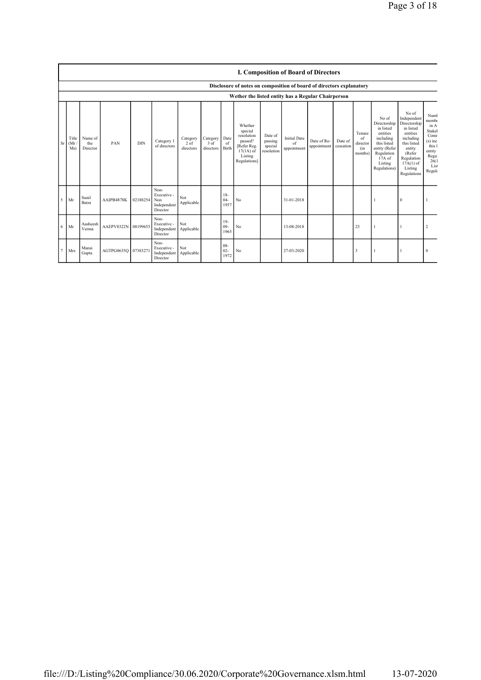|           |                                                    | <b>I. Composition of Board of Directors</b><br>Disclosure of notes on composition of board of directors explanatory |                     |            |                                                       |                                 |                                 |                          |                                                                                                     |                                             |                                          |                            |                      |                                            |                                                                                                                                                  |                                                                                                                                                                      |                                                                                                             |
|-----------|----------------------------------------------------|---------------------------------------------------------------------------------------------------------------------|---------------------|------------|-------------------------------------------------------|---------------------------------|---------------------------------|--------------------------|-----------------------------------------------------------------------------------------------------|---------------------------------------------|------------------------------------------|----------------------------|----------------------|--------------------------------------------|--------------------------------------------------------------------------------------------------------------------------------------------------|----------------------------------------------------------------------------------------------------------------------------------------------------------------------|-------------------------------------------------------------------------------------------------------------|
|           |                                                    |                                                                                                                     |                     |            |                                                       |                                 |                                 |                          |                                                                                                     |                                             |                                          |                            |                      |                                            |                                                                                                                                                  |                                                                                                                                                                      |                                                                                                             |
|           | Wether the listed entity has a Regular Chairperson |                                                                                                                     |                     |            |                                                       |                                 |                                 |                          |                                                                                                     |                                             |                                          |                            |                      |                                            |                                                                                                                                                  |                                                                                                                                                                      |                                                                                                             |
| <b>Sr</b> | Title<br>(Mr)<br>Ms)                               | Name of<br>the<br>Director                                                                                          | PAN                 | <b>DIN</b> | Category 1<br>of directors                            | Category<br>$2$ of<br>directors | Category<br>$3$ of<br>directors | Date<br>of<br>Birth      | Whether<br>special<br>resolution<br>passed?<br>Refer Reg.<br>$17(1A)$ of<br>Listing<br>Regulations] | Date of<br>passing<br>special<br>resolution | <b>Initial Date</b><br>of<br>appointment | Date of Re-<br>appointment | Date of<br>cessation | Tenure<br>of<br>director<br>(in<br>months) | No of<br>Directorship<br>in listed<br>entities<br>including<br>this listed<br>entity (Refer<br>Regulation<br>$17A$ of<br>Listing<br>Regulations) | No of<br>Independent<br>Directorship<br>in listed<br>entities<br>including<br>this listed<br>entity<br>(Refer<br>Regulation<br>$17A(1)$ of<br>Listing<br>Regulations | Numl<br>membe<br>in A<br>Stakel<br>Comr<br>$(s)$ inc<br>this 1<br>entity<br>Regu<br>26(1)<br>List<br>Regula |
| 5         | Mr                                                 | Sunil<br>Batra                                                                                                      | AAIPB4878K          | 02188254   | Non-<br>Executive -<br>Non<br>Independent<br>Director | Not<br>Applicable               |                                 | $18-$<br>$04 -$<br>1957  | No                                                                                                  |                                             | 31-01-2018                               |                            |                      |                                            |                                                                                                                                                  | 0                                                                                                                                                                    |                                                                                                             |
| 6         | Mr                                                 | Aasheesh<br>Verma                                                                                                   | AAEPV8322N 08199653 |            | Non-<br>Executive -<br>Independent<br>Director        | Not<br>Applicable               |                                 | $19-$<br>$09-$<br>1965   | No                                                                                                  |                                             | 13-08-2018                               |                            |                      | 23                                         |                                                                                                                                                  |                                                                                                                                                                      | $\overline{2}$                                                                                              |
| z         | Mrs                                                | Mansi<br>Gupta                                                                                                      | AGTPG0635Q 07383271 |            | Non-<br>Executive -<br>Independent<br>Director        | Not<br>Applicable               |                                 | $08 -$<br>$02 -$<br>1972 | No                                                                                                  |                                             | 27-03-2020                               |                            |                      | 3                                          |                                                                                                                                                  |                                                                                                                                                                      | $\Omega$                                                                                                    |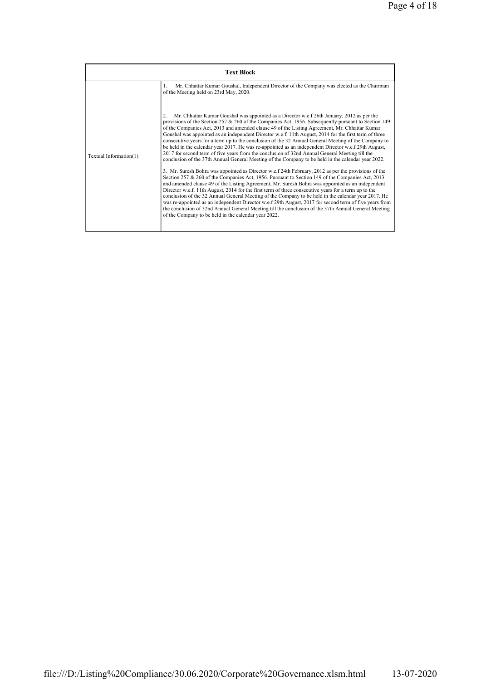|                        | <b>Text Block</b>                                                                                                                                                                                                                                                                                                                                                                                                                                                                                                                                                                                                                                                                                                                                                                                                                                                                                                                                                                                                                                                                                                                                                                                                                                                                                                                                                                                                                                                                                                                                                                                                                                                  |
|------------------------|--------------------------------------------------------------------------------------------------------------------------------------------------------------------------------------------------------------------------------------------------------------------------------------------------------------------------------------------------------------------------------------------------------------------------------------------------------------------------------------------------------------------------------------------------------------------------------------------------------------------------------------------------------------------------------------------------------------------------------------------------------------------------------------------------------------------------------------------------------------------------------------------------------------------------------------------------------------------------------------------------------------------------------------------------------------------------------------------------------------------------------------------------------------------------------------------------------------------------------------------------------------------------------------------------------------------------------------------------------------------------------------------------------------------------------------------------------------------------------------------------------------------------------------------------------------------------------------------------------------------------------------------------------------------|
|                        | Mr. Chhattar Kumar Goushal, Independent Director of the Company was elected as the Chairman<br>1.<br>of the Meeting held on 23rd May, 2020.                                                                                                                                                                                                                                                                                                                                                                                                                                                                                                                                                                                                                                                                                                                                                                                                                                                                                                                                                                                                                                                                                                                                                                                                                                                                                                                                                                                                                                                                                                                        |
| Textual Information(1) | Mr. Chhattar Kumar Goushal was appointed as a Director w.e.f 26th January, 2012 as per the<br>$\overline{2}$<br>provisions of the Section 257 $\&$ 260 of the Companies Act, 1956. Subsequently pursuant to Section 149<br>of the Companies Act, 2013 and amended clause 49 of the Listing Agreement, Mr. Chhattar Kumar<br>Goushal was appointed as an independent Director w.e.f. 11th August, 2014 for the first term of three<br>consecutive years for a term up to the conclusion of the 32 Annual General Meeting of the Company to<br>be held in the calendar year 2017. He was re-appointed as an independent Director w.e.f 29th August,<br>2017 for second term of five years from the conclusion of 32nd Annual General Meeting till the<br>conclusion of the 37th Annual General Meeting of the Company to be held in the calendar year 2022.<br>3. Mr. Suresh Bohra was appointed as Director w.e.f 24th February, 2012 as per the provisions of the<br>Section 257 & 260 of the Companies Act, 1956. Pursuant to Section 149 of the Companies Act, 2013<br>and amended clause 49 of the Listing Agreement, Mr. Suresh Bohra was appointed as an independent<br>Director w.e.f. 11th August, 2014 for the first term of three consecutive years for a term up to the<br>conclusion of the 32 Annual General Meeting of the Company to be held in the calendar year 2017. He<br>was re-appointed as an independent Director w.e.f 29th August, 2017 for second term of five years from<br>the conclusion of 32nd Annual General Meeting till the conclusion of the 37th Annual General Meeting<br>of the Company to be held in the calendar year 2022. |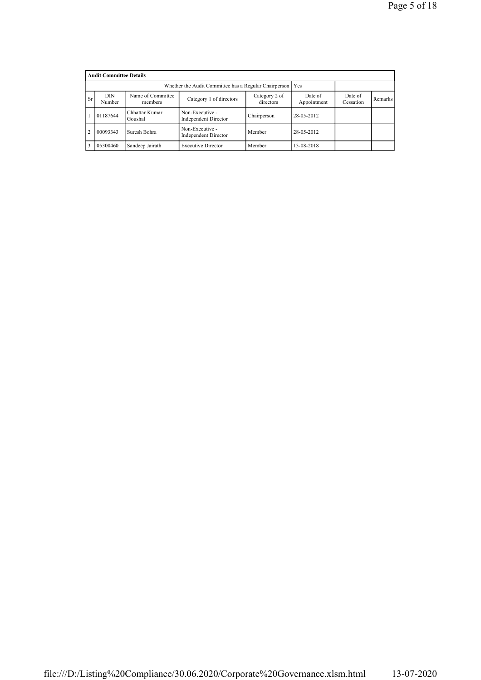|                | <b>Audit Committee Details</b>                                             |                                                             |                                                |                            |                        |                      |         |  |  |  |  |
|----------------|----------------------------------------------------------------------------|-------------------------------------------------------------|------------------------------------------------|----------------------------|------------------------|----------------------|---------|--|--|--|--|
|                |                                                                            | Whether the Audit Committee has a Regular Chairperson   Yes |                                                |                            |                        |                      |         |  |  |  |  |
| <b>Sr</b>      | DIN<br>Number                                                              | Name of Committee<br>members                                | Category 1 of directors                        | Category 2 of<br>directors | Date of<br>Appointment | Date of<br>Cessation | Remarks |  |  |  |  |
|                | 01187644                                                                   | Chhattar Kumar<br>Goushal                                   | Non-Executive -<br><b>Independent Director</b> | Chairperson                | 28-05-2012             |                      |         |  |  |  |  |
| $\overline{2}$ | Non-Executive -<br>00093343<br>Suresh Bohra<br><b>Independent Director</b> |                                                             | Member                                         | 28-05-2012                 |                        |                      |         |  |  |  |  |
| 3              | 05300460                                                                   | Sandeep Jairath                                             | Member                                         | 13-08-2018                 |                        |                      |         |  |  |  |  |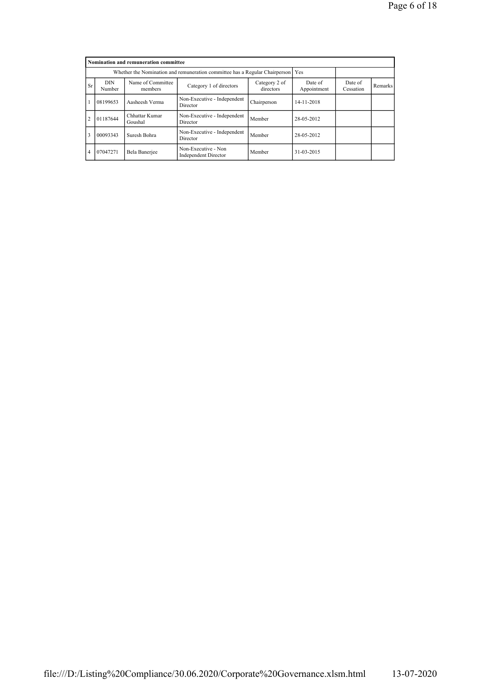|                | Nomination and remuneration committee                                                                         |                           |                                                    |             |                        |                      |         |  |  |  |  |
|----------------|---------------------------------------------------------------------------------------------------------------|---------------------------|----------------------------------------------------|-------------|------------------------|----------------------|---------|--|--|--|--|
|                | Whether the Nomination and remuneration committee has a Regular Chairperson                                   |                           |                                                    |             |                        |                      |         |  |  |  |  |
| <b>Sr</b>      | Name of Committee<br><b>DIN</b><br>Category 2 of<br>Category 1 of directors<br>directors<br>Number<br>members |                           |                                                    |             | Date of<br>Appointment | Date of<br>Cessation | Remarks |  |  |  |  |
|                | 08199653                                                                                                      | Aasheesh Verma            | Non-Executive - Independent<br>Director            | Chairperson | 14-11-2018             |                      |         |  |  |  |  |
| $\mathcal{D}$  | 01187644                                                                                                      | Chhattar Kumar<br>Goushal | Non-Executive - Independent<br>Director            | Member      | 28-05-2012             |                      |         |  |  |  |  |
| 3              | 00093343                                                                                                      | Suresh Bohra              | Non-Executive - Independent<br>Director            | Member      | 28-05-2012             |                      |         |  |  |  |  |
| $\overline{4}$ | 07047271                                                                                                      | Bela Banerjee             | Non-Executive - Non<br><b>Independent Director</b> | Member      | 31-03-2015             |                      |         |  |  |  |  |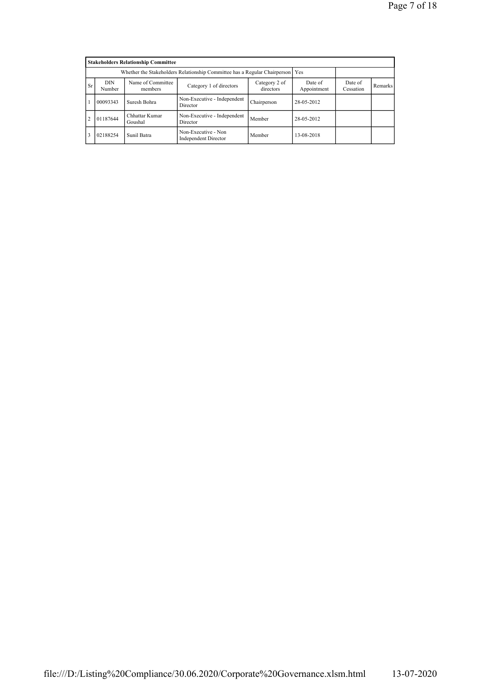|                | <b>Stakeholders Relationship Committee</b>                                      |                              |                                                    |                      |            |  |  |  |  |  |  |
|----------------|---------------------------------------------------------------------------------|------------------------------|----------------------------------------------------|----------------------|------------|--|--|--|--|--|--|
|                | Whether the Stakeholders Relationship Committee has a Regular Chairperson   Yes |                              |                                                    |                      |            |  |  |  |  |  |  |
| <b>Sr</b>      | <b>DIN</b><br>Number                                                            | Name of Committee<br>members | Date of<br>Appointment                             | Date of<br>Cessation | Remarks    |  |  |  |  |  |  |
|                | 00093343                                                                        | Suresh Bohra                 | Non-Executive - Independent<br>Director            | Chairperson          | 28-05-2012 |  |  |  |  |  |  |
| $\overline{2}$ | 01187644                                                                        | Chhattar Kumar<br>Goushal    | Non-Executive - Independent<br>Director            | Member               | 28-05-2012 |  |  |  |  |  |  |
| 3              | 02188254<br>Sunil Batra                                                         |                              | Non-Executive - Non<br><b>Independent Director</b> | Member               | 13-08-2018 |  |  |  |  |  |  |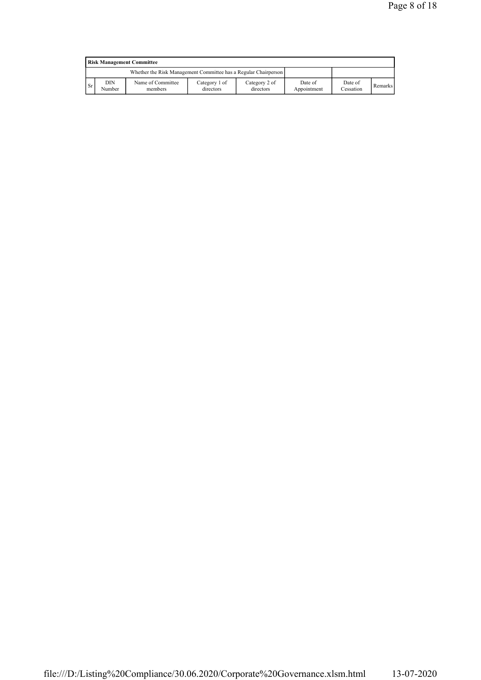|               | <b>Risk Management Committee</b>                                |                              |                            |                            |                        |                      |                |  |  |  |  |
|---------------|-----------------------------------------------------------------|------------------------------|----------------------------|----------------------------|------------------------|----------------------|----------------|--|--|--|--|
|               | Whether the Risk Management Committee has a Regular Chairperson |                              |                            |                            |                        |                      |                |  |  |  |  |
| <sup>Sr</sup> | DIN<br>Number                                                   | Name of Committee<br>members | Category 1 of<br>directors | Category 2 of<br>directors | Date of<br>Appointment | Date of<br>Cessation | <b>Remarks</b> |  |  |  |  |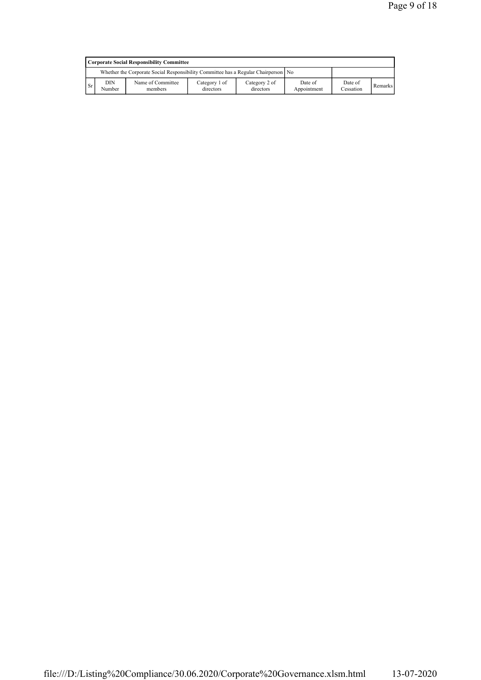|           | Corporate Social Responsibility Committee                                                                                                                                     |  |  |  |  |  |  |  |  |  |  |
|-----------|-------------------------------------------------------------------------------------------------------------------------------------------------------------------------------|--|--|--|--|--|--|--|--|--|--|
|           | Whether the Corporate Social Responsibility Committee has a Regular Chairperson   No                                                                                          |  |  |  |  |  |  |  |  |  |  |
| <b>Sr</b> | DIN<br>Category 1 of<br>Name of Committee<br>Category 2 of<br>Date of<br>Date of<br><b>Remarks</b><br>Cessation<br>Number<br>Appointment<br>members<br>directors<br>directors |  |  |  |  |  |  |  |  |  |  |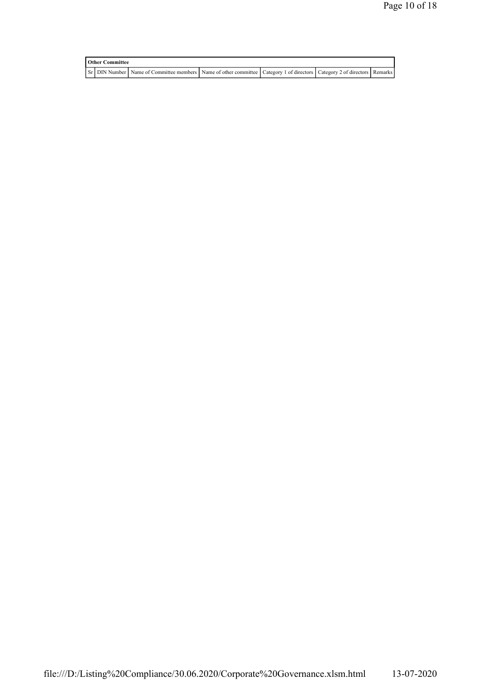| <b>Other Committee</b> |  |                                                                                                                         |  |  |  |  |  |  |  |  |
|------------------------|--|-------------------------------------------------------------------------------------------------------------------------|--|--|--|--|--|--|--|--|
|                        |  | ST DIN Number Name of Committee members Name of other committee Category 1 of directors Category 2 of directors Remarks |  |  |  |  |  |  |  |  |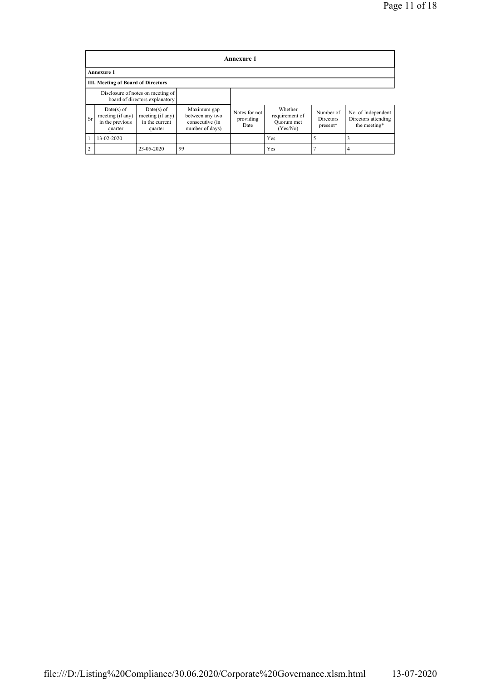|                | Annexure 1                                                     |                                                                     |                                                                      |                                    |                                                     |                                    |                                                           |  |  |  |  |  |
|----------------|----------------------------------------------------------------|---------------------------------------------------------------------|----------------------------------------------------------------------|------------------------------------|-----------------------------------------------------|------------------------------------|-----------------------------------------------------------|--|--|--|--|--|
|                | <b>Annexure 1</b>                                              |                                                                     |                                                                      |                                    |                                                     |                                    |                                                           |  |  |  |  |  |
|                | <b>III. Meeting of Board of Directors</b>                      |                                                                     |                                                                      |                                    |                                                     |                                    |                                                           |  |  |  |  |  |
|                |                                                                | Disclosure of notes on meeting of<br>board of directors explanatory |                                                                      |                                    |                                                     |                                    |                                                           |  |  |  |  |  |
| <b>Sr</b>      | $Date(s)$ of<br>meeting (if any)<br>in the previous<br>quarter | $Date(s)$ of<br>meeting (if any)<br>in the current<br>quarter       | Maximum gap<br>between any two<br>consecutive (in<br>number of days) | Notes for not<br>providing<br>Date | Whether<br>requirement of<br>Ouorum met<br>(Yes/No) | Number of<br>Directors<br>present* | No. of Independent<br>Directors attending<br>the meeting* |  |  |  |  |  |
|                | 13-02-2020                                                     |                                                                     |                                                                      |                                    | Yes                                                 |                                    |                                                           |  |  |  |  |  |
| $\overline{2}$ |                                                                | 23-05-2020                                                          | 99                                                                   |                                    | Yes                                                 |                                    |                                                           |  |  |  |  |  |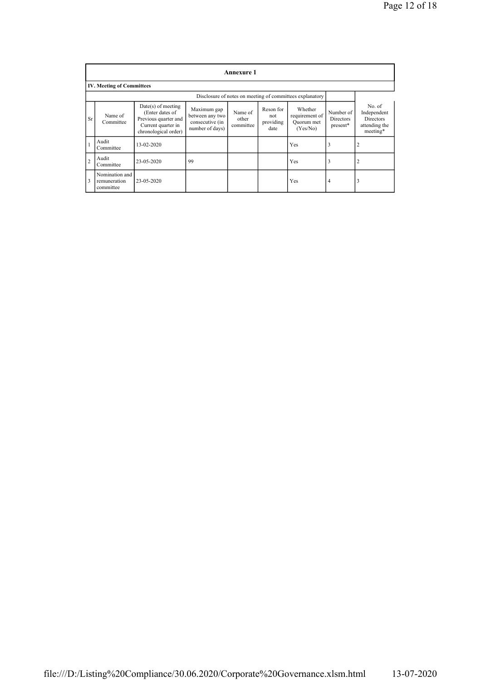|                         | <b>Annexure 1</b>                                        |                                                                                                               |                                                                      |                               |                                       |                                                     |                                    |                                                                       |
|-------------------------|----------------------------------------------------------|---------------------------------------------------------------------------------------------------------------|----------------------------------------------------------------------|-------------------------------|---------------------------------------|-----------------------------------------------------|------------------------------------|-----------------------------------------------------------------------|
|                         | <b>IV. Meeting of Committees</b>                         |                                                                                                               |                                                                      |                               |                                       |                                                     |                                    |                                                                       |
|                         | Disclosure of notes on meeting of committees explanatory |                                                                                                               |                                                                      |                               |                                       |                                                     |                                    |                                                                       |
| <b>Sr</b>               | Name of<br>Committee                                     | $Date(s)$ of meeting<br>(Enter dates of<br>Previous quarter and<br>Current quarter in<br>chronological order) | Maximum gap<br>between any two<br>consecutive (in<br>number of days) | Name of<br>other<br>committee | Reson for<br>not<br>providing<br>date | Whether<br>requirement of<br>Quorum met<br>(Yes/No) | Number of<br>Directors<br>present* | No of<br>Independent<br><b>Directors</b><br>attending the<br>meeting* |
|                         | Audit<br>Committee                                       | 13-02-2020                                                                                                    |                                                                      |                               |                                       | Yes                                                 | 3                                  | $\overline{2}$                                                        |
| $\overline{2}$          | Audit<br>Committee                                       | 23-05-2020                                                                                                    | 99                                                                   |                               |                                       | Yes                                                 | 3                                  | $\overline{2}$                                                        |
| $\overline{\mathbf{3}}$ | Nomination and<br>remuneration<br>committee              | 23-05-2020                                                                                                    |                                                                      |                               |                                       | Yes                                                 | 4                                  | 3                                                                     |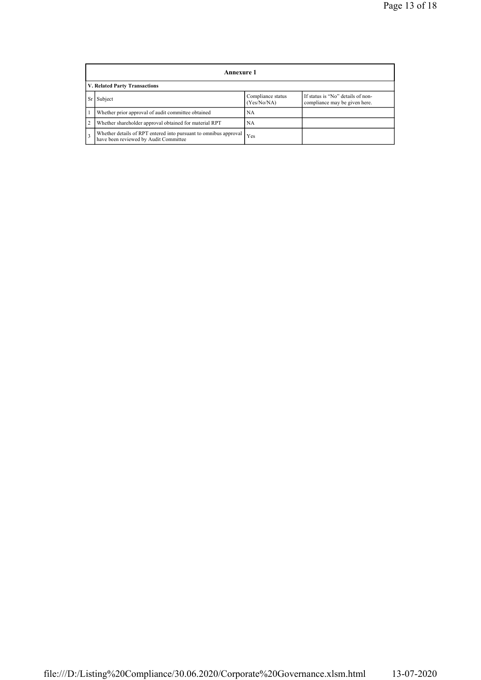|                | Annexure 1                                                                                                |                                  |                                                                    |  |
|----------------|-----------------------------------------------------------------------------------------------------------|----------------------------------|--------------------------------------------------------------------|--|
|                | V. Related Party Transactions                                                                             |                                  |                                                                    |  |
|                | Subject                                                                                                   | Compliance status<br>(Yes/No/NA) | If status is "No" details of non-<br>compliance may be given here. |  |
|                | Whether prior approval of audit committee obtained                                                        | NA                               |                                                                    |  |
| $\overline{2}$ | Whether shareholder approval obtained for material RPT                                                    | NA                               |                                                                    |  |
| 3              | Whether details of RPT entered into pursuant to omnibus approval<br>have been reviewed by Audit Committee | Yes                              |                                                                    |  |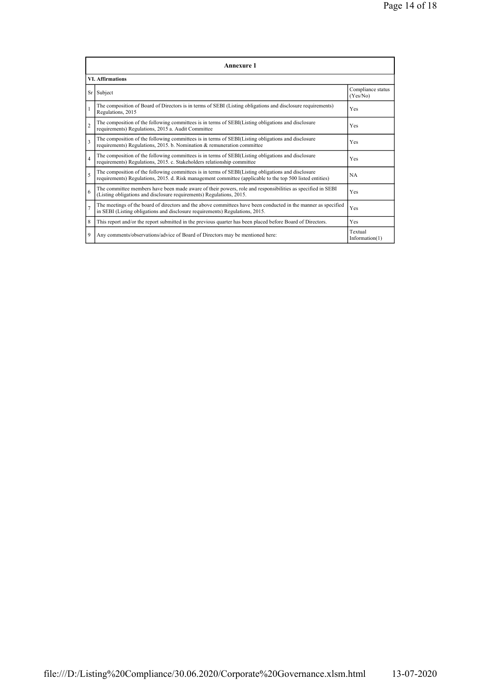|                          | Annexure 1                                                                                                                                                                                                             |                               |  |  |  |
|--------------------------|------------------------------------------------------------------------------------------------------------------------------------------------------------------------------------------------------------------------|-------------------------------|--|--|--|
|                          | <b>VI. Affirmations</b>                                                                                                                                                                                                |                               |  |  |  |
|                          | Sr Subject                                                                                                                                                                                                             | Compliance status<br>(Yes/No) |  |  |  |
| 1                        | The composition of Board of Directors is in terms of SEBI (Listing obligations and disclosure requirements)<br>Regulations, 2015                                                                                       | Yes                           |  |  |  |
| $\overline{c}$           | The composition of the following committees is in terms of SEBI(Listing obligations and disclosure<br>requirements) Regulations, 2015 a. Audit Committee                                                               | Yes                           |  |  |  |
| 3                        | The composition of the following committees is in terms of SEBI(Listing obligations and disclosure<br>requirements) Regulations, 2015. b. Nomination & remuneration committee                                          | Yes                           |  |  |  |
| $\overline{4}$           | The composition of the following committees is in terms of SEBI(Listing obligations and disclosure<br>requirements) Regulations, 2015. c. Stakeholders relationship committee                                          | Yes                           |  |  |  |
| $\overline{\phantom{0}}$ | The composition of the following committees is in terms of SEBI(Listing obligations and disclosure<br>NA.<br>requirements) Regulations, 2015. d. Risk management committee (applicable to the top 500 listed entities) |                               |  |  |  |
| 6                        | The committee members have been made aware of their powers, role and responsibilities as specified in SEBI<br>(Listing obligations and disclosure requirements) Regulations, 2015.                                     | Yes                           |  |  |  |
| $\overline{7}$           | The meetings of the board of directors and the above committees have been conducted in the manner as specified<br>in SEBI (Listing obligations and disclosure requirements) Regulations, 2015.                         |                               |  |  |  |
| 8                        | This report and/or the report submitted in the previous quarter has been placed before Board of Directors.<br>Yes                                                                                                      |                               |  |  |  |
| 9                        | Textual<br>Any comments/observations/advice of Board of Directors may be mentioned here:<br>Information(1)                                                                                                             |                               |  |  |  |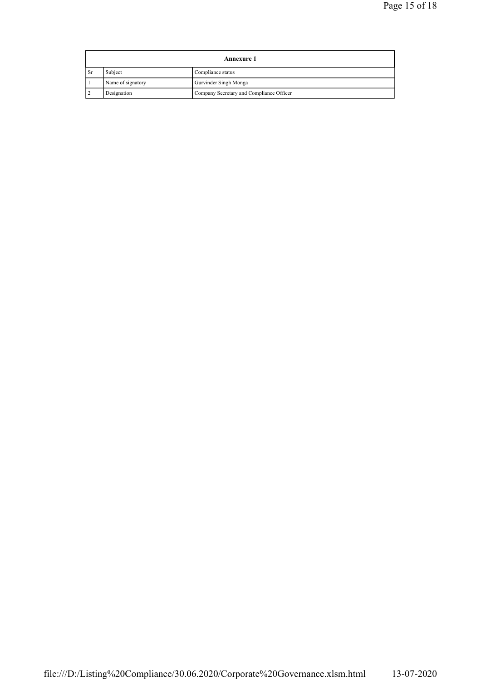|           | <b>Annexure 1</b> |                                          |  |
|-----------|-------------------|------------------------------------------|--|
| <b>Sr</b> | Subject           | Compliance status                        |  |
|           | Name of signatory | Gurvinder Singh Monga                    |  |
|           | Designation       | Company Secretary and Compliance Officer |  |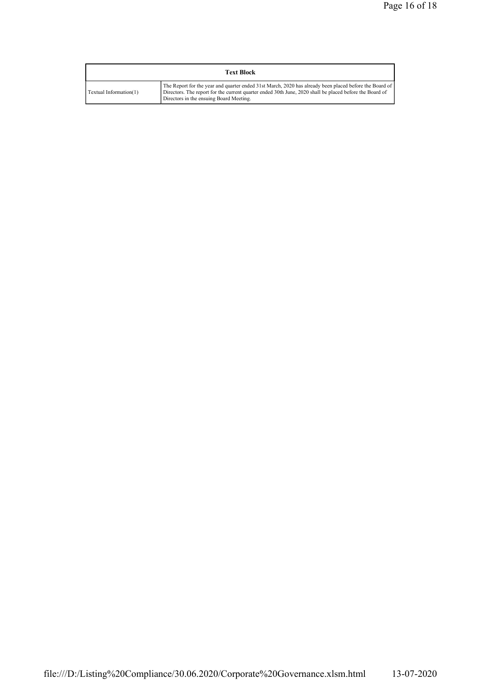| <b>Text Block</b>      |                                                                                                                                                                                                                                                              |  |  |  |
|------------------------|--------------------------------------------------------------------------------------------------------------------------------------------------------------------------------------------------------------------------------------------------------------|--|--|--|
| Textual Information(1) | The Report for the year and quarter ended 31st March, 2020 has already been placed before the Board of<br>Directors. The report for the current quarter ended 30th June, 2020 shall be placed before the Board of<br>Directors in the ensuing Board Meeting. |  |  |  |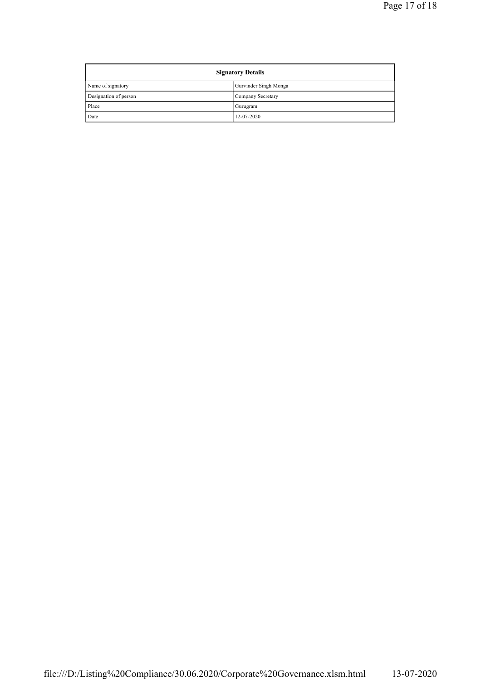| <b>Signatory Details</b> |                       |  |
|--------------------------|-----------------------|--|
| Name of signatory        | Gurvinder Singh Monga |  |
| Designation of person    | Company Secretary     |  |
| Place                    | Gurugram              |  |
| Date                     | 12-07-2020            |  |